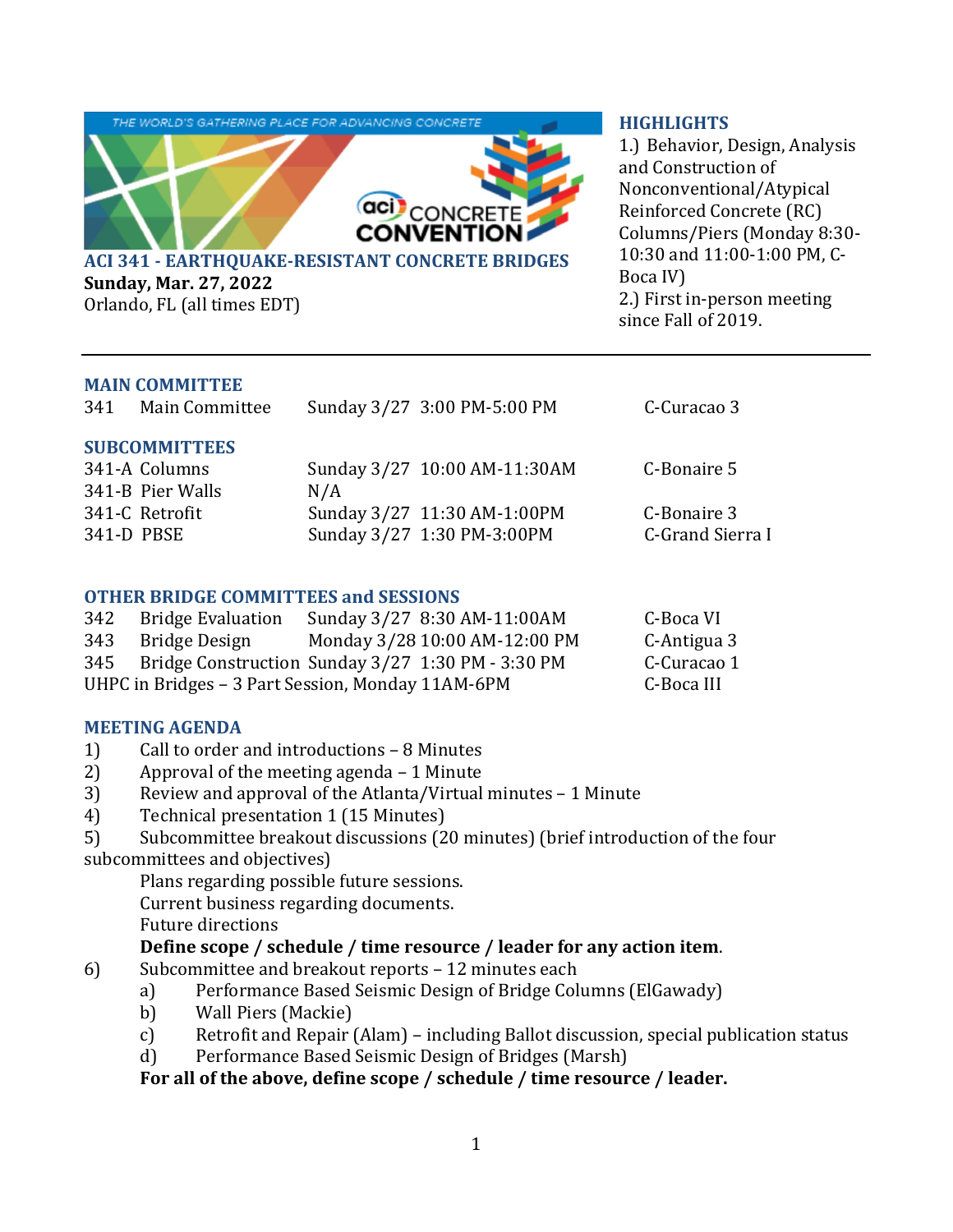

**Sunday, Mar. 27, 2022** Orlando, FL (all times EDT)

#### **HIGHLIGHTS**

1.) Behavior, Design, Analysis and Construction of Nonconventional/Atypical Reinforced Concrete (RC) Columns/Piers (Monday 8:30- 10:30 and 11:00-1:00 PM, C-Boca IV) 2.) First in-person meeting since Fall of 2019.

#### **MAIN COMMITTEE**

341 Main Committee Sunday 3/27 3:00 PM-5:00 PM C-Curacao 3

#### **SUBCOMMITTEES**

| 341-A Columns<br>341-B Pier Walls | Sunday 3/27 10:00 AM-11:30AM<br>N/A | C-Bonaire 5      |
|-----------------------------------|-------------------------------------|------------------|
| 341-C Retrofit                    | Sunday 3/27 11:30 AM-1:00PM         | C-Bonaire 3      |
| 341-D PBSE                        | Sunday 3/27 1:30 PM-3:00PM          | C-Grand Sierra I |

## **OTHER BRIDGE COMMITTEES and SESSIONS**

| 342                                               | Bridge Evaluation                                     | Sunday 3/27 8:30 AM-11:00AM   | C-Boca VI   |
|---------------------------------------------------|-------------------------------------------------------|-------------------------------|-------------|
|                                                   | 343 Bridge Design                                     | Monday 3/28 10:00 AM-12:00 PM | C-Antigua 3 |
|                                                   | 345 Bridge Construction Sunday 3/27 1:30 PM - 3:30 PM |                               | C-Curacao 1 |
| UHPC in Bridges – 3 Part Session, Monday 11AM-6PM | C-Boca III                                            |                               |             |

## **MEETING AGENDA**

- 1) Call to order and introductions 8 Minutes
- 2) Approval of the meeting agenda 1 Minute
- 3) Review and approval of the Atlanta/Virtual minutes 1 Minute
- 4) Technical presentation 1 (15 Minutes)
- 5) Subcommittee breakout discussions (20 minutes) (brief introduction of the four subcommittees and objectives)

Plans regarding possible future sessions.

Current business regarding documents.

Future directions

## **Define scope / schedule / time resource / leader for any action item**.

- 6) Subcommittee and breakout reports 12 minutes each
	- a) Performance Based Seismic Design of Bridge Columns (ElGawady)
	- b) Wall Piers (Mackie)
	- c) Retrofit and Repair (Alam) including Ballot discussion, special publication status
	- d) Performance Based Seismic Design of Bridges (Marsh)

# **For all of the above, define scope / schedule / time resource / leader.**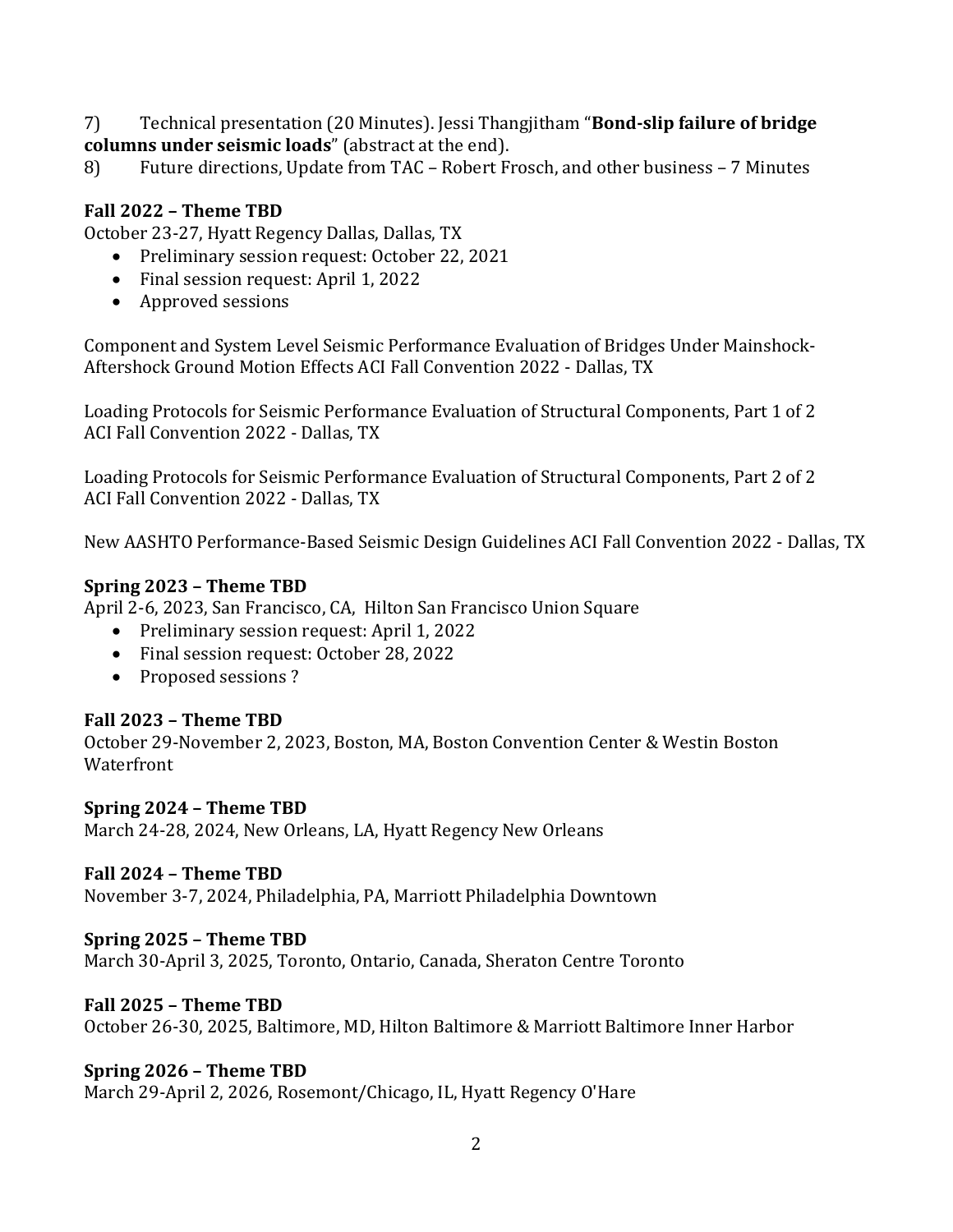7) Technical presentation (20 Minutes). Jessi Thangjitham "**Bond‐slip failure of bridge columns under seismic loads**" (abstract at the end).

8) Future directions, Update from TAC – Robert Frosch, and other business – 7 Minutes

## **Fall 2022 – Theme TBD**

October 23-27, Hyatt Regency Dallas, Dallas, TX

- Preliminary session request: October 22, 2021
- Final session request: April 1, 2022
- Approved sessions

Component and System Level Seismic Performance Evaluation of Bridges Under Mainshock-Aftershock Ground Motion Effects ACI Fall Convention 2022 - Dallas, TX

Loading Protocols for Seismic Performance Evaluation of Structural Components, Part 1 of 2 ACI Fall Convention 2022 - Dallas, TX

Loading Protocols for Seismic Performance Evaluation of Structural Components, Part 2 of 2 ACI Fall Convention 2022 - Dallas, TX

New AASHTO Performance-Based Seismic Design Guidelines ACI Fall Convention 2022 - Dallas, TX

## **Spring 2023 – Theme TBD**

April 2-6, 2023, San Francisco, CA, Hilton San Francisco Union Square

- Preliminary session request: April 1, 2022
- Final session request: October 28, 2022
- Proposed sessions?

## **Fall 2023 – Theme TBD**

October 29-November 2, 2023, Boston, MA, Boston Convention Center & Westin Boston Waterfront

#### **Spring 2024 – Theme TBD**

March 24-28, 2024, New Orleans, LA, Hyatt Regency New Orleans

## **Fall 2024 – Theme TBD**

November 3-7, 2024, Philadelphia, PA, Marriott Philadelphia Downtown

## **Spring 2025 – Theme TBD**

March 30-April 3, 2025, Toronto, Ontario, Canada, Sheraton Centre Toronto

## **Fall 2025 – Theme TBD**

October 26-30, 2025, Baltimore, MD, Hilton Baltimore & Marriott Baltimore Inner Harbor

## **Spring 2026 – Theme TBD**

March 29-April 2, 2026, Rosemont/Chicago, IL, Hyatt Regency O'Hare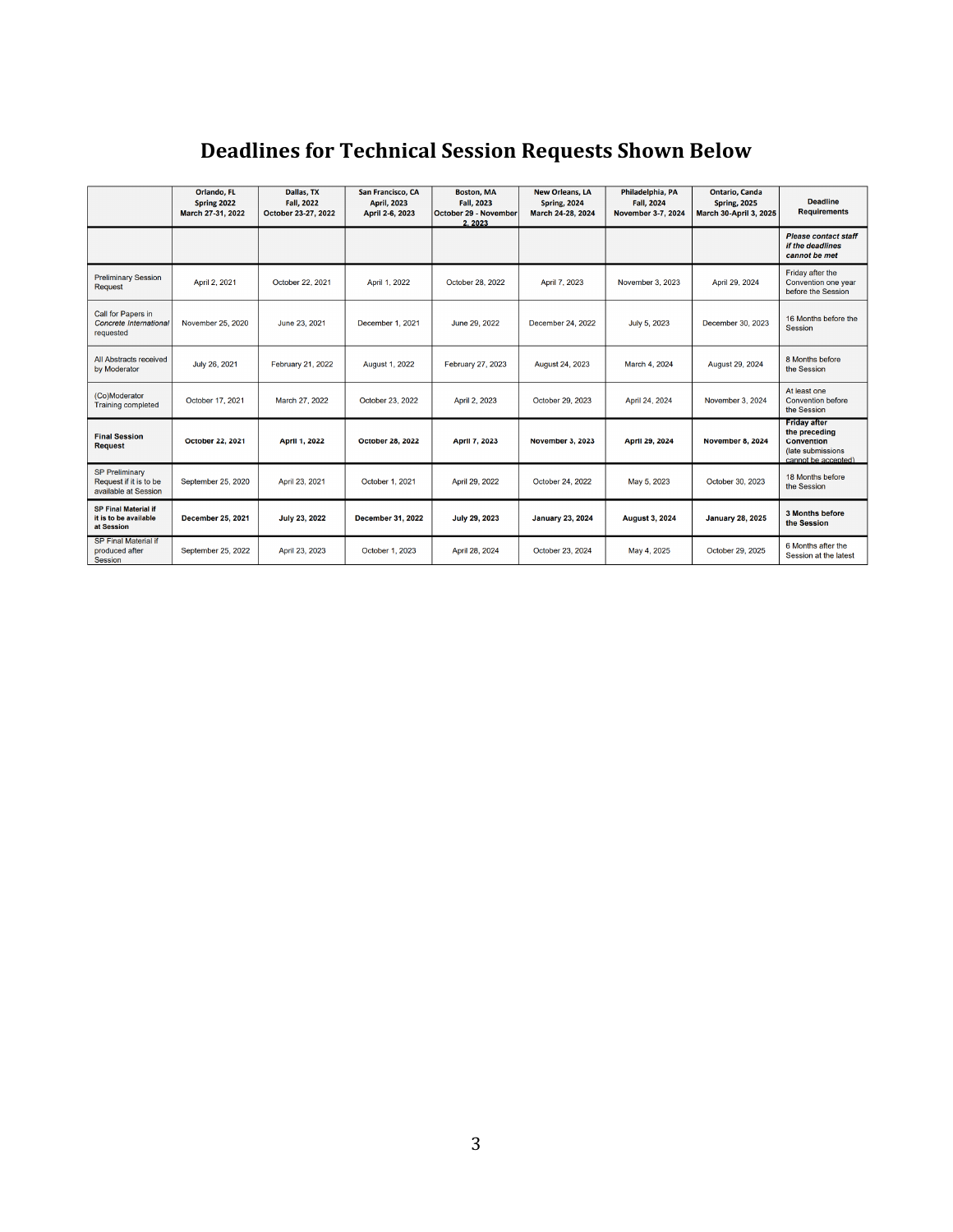|                                                                         | Orlando, FL<br>Spring 2022<br>March 27-31, 2022 | Dallas, TX<br><b>Fall, 2022</b><br>October 23-27, 2022 | San Francisco, CA<br><b>April, 2023</b><br>April 2-6, 2023 | <b>Boston, MA</b><br>Fall, 2023<br>October 29 - November<br>2.2023 | <b>New Orleans, LA</b><br><b>Spring, 2024</b><br>March 24-28, 2024 | Philadelphia, PA<br><b>Fall, 2024</b><br><b>November 3-7, 2024</b> | <b>Ontario, Canda</b><br><b>Spring, 2025</b><br>March 30-April 3, 2025 | <b>Deadline</b><br><b>Requirements</b>                                                                 |
|-------------------------------------------------------------------------|-------------------------------------------------|--------------------------------------------------------|------------------------------------------------------------|--------------------------------------------------------------------|--------------------------------------------------------------------|--------------------------------------------------------------------|------------------------------------------------------------------------|--------------------------------------------------------------------------------------------------------|
|                                                                         |                                                 |                                                        |                                                            |                                                                    |                                                                    |                                                                    |                                                                        | <b>Please contact staff</b><br>if the deadlines<br>cannot be met                                       |
| <b>Preliminary Session</b><br><b>Request</b>                            | April 2, 2021                                   | October 22, 2021                                       | April 1, 2022                                              | October 28, 2022                                                   | April 7, 2023                                                      | November 3, 2023                                                   | April 29, 2024                                                         | Friday after the<br>Convention one year<br>before the Session                                          |
| Call for Papers in<br>Concrete International<br>requested               | November 25, 2020                               | June 23, 2021                                          | December 1, 2021                                           | June 29, 2022                                                      | December 24, 2022                                                  | July 5, 2023                                                       | December 30, 2023                                                      | 16 Months before the<br><b>Session</b>                                                                 |
| All Abstracts received<br>by Moderator                                  | July 26, 2021                                   | February 21, 2022                                      | <b>August 1, 2022</b>                                      | February 27, 2023                                                  | August 24, 2023                                                    | March 4, 2024                                                      | August 29, 2024                                                        | 8 Months before<br>the Session                                                                         |
| (Co)Moderator<br><b>Training completed</b>                              | October 17, 2021                                | March 27, 2022                                         | October 23, 2022                                           | April 2, 2023                                                      | October 29, 2023                                                   | April 24, 2024                                                     | November 3, 2024                                                       | At least one<br><b>Convention before</b><br>the Session                                                |
| <b>Final Session</b><br><b>Request</b>                                  | <b>October 22, 2021</b>                         | <b>April 1, 2022</b>                                   | <b>October 28, 2022</b>                                    | <b>April 7, 2023</b>                                               | November 3, 2023                                                   | April 29, 2024                                                     | November 8, 2024                                                       | <b>Friday after</b><br>the preceding<br><b>Convention</b><br>(late submissions)<br>cannot be accepted) |
| <b>SP Preliminary</b><br>Request if it is to be<br>available at Session | September 25, 2020                              | April 23, 2021                                         | October 1, 2021                                            | April 29, 2022                                                     | October 24, 2022                                                   | May 5, 2023                                                        | October 30, 2023                                                       | 18 Months before<br>the Session                                                                        |
| <b>SP Final Material if</b><br>it is to be available<br>at Session      | <b>December 25, 2021</b>                        | <b>July 23, 2022</b>                                   | <b>December 31, 2022</b>                                   | <b>July 29, 2023</b>                                               | <b>January 23, 2024</b>                                            | <b>August 3, 2024</b>                                              | <b>January 28, 2025</b>                                                | 3 Months before<br>the Session                                                                         |
| <b>SP Final Material if</b><br>produced after<br>Seccion                | September 25, 2022                              | April 23, 2023                                         | October 1, 2023                                            | April 28, 2024                                                     | October 23, 2024                                                   | May 4, 2025                                                        | October 29, 2025                                                       | 6 Months after the<br>Session at the latest                                                            |

# **Deadlines for Technical Session Requests Shown Below**